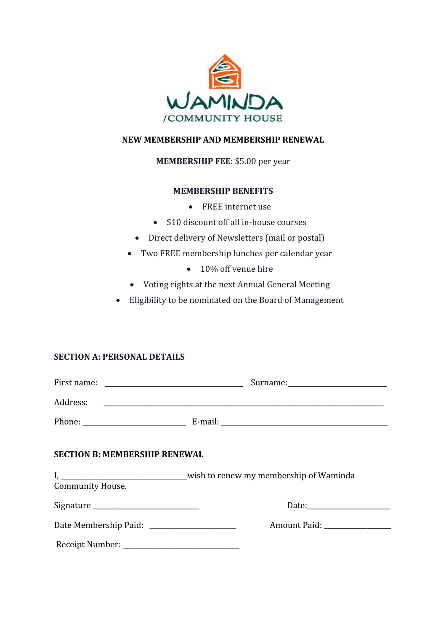

## **NEW MEMBERSHIP AND MEMBERSHIP RENEWAL**

## **MEMBERSHIP FEE**: \$5.00 per year

#### **MEMBERSHIP BENEFITS**

- FREE internet use
- \$10 discount off all in-house courses
- Direct delivery of Newsletters (mail or postal)
- Two FREE membership lunches per calendar year
	- 10% off venue hire
- Voting rights at the next Annual General Meeting
- Eligibility to be nominated on the Board of Management

### **SECTION A: PERSONAL DETAILS**

| <b>SECTION B: MEMBERSHIP RENEWAL</b> |                                                              |
|--------------------------------------|--------------------------------------------------------------|
| <b>Community House.</b>              |                                                              |
|                                      |                                                              |
|                                      | Amount Paid:<br>Date Membership Paid: ______________________ |
|                                      |                                                              |